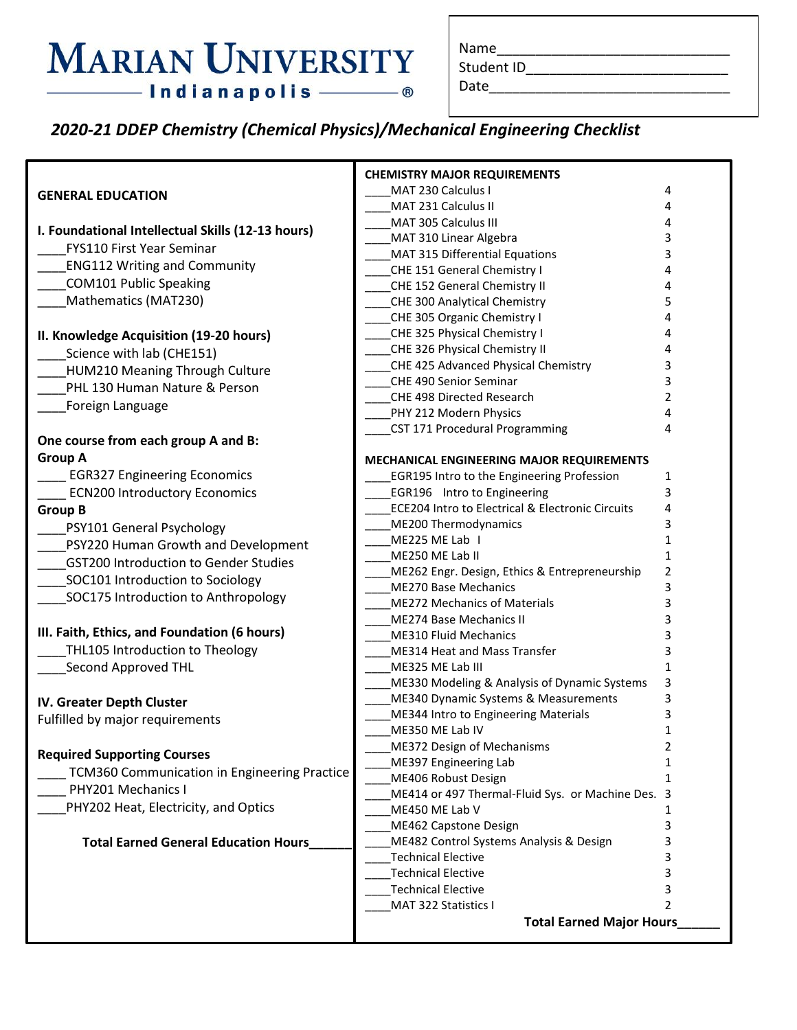## **MARIAN UNIVERSITY** - Indianapolis ———— ®

| Name |  |  |
|------|--|--|
|      |  |  |

Student ID\_\_\_\_\_\_\_\_\_\_\_\_\_\_\_\_\_\_\_\_\_\_\_\_\_\_\_\_\_\_\_\_\_

Date\_\_\_\_\_\_\_\_\_\_\_\_\_\_\_\_\_\_\_\_\_\_\_\_\_\_\_\_\_\_\_

*2020-21 DDEP Chemistry (Chemical Physics)/Mechanical Engineering Checklist*

|                                                   | <b>CHEMISTRY MAJOR REQUIREMENTS</b>                                  |                |
|---------------------------------------------------|----------------------------------------------------------------------|----------------|
| <b>GENERAL EDUCATION</b>                          | MAT 230 Calculus I                                                   | 4              |
|                                                   | MAT 231 Calculus II                                                  | 4              |
| I. Foundational Intellectual Skills (12-13 hours) | MAT 305 Calculus III                                                 | 4              |
| <b>FYS110 First Year Seminar</b>                  | MAT 310 Linear Algebra                                               | 3              |
|                                                   | MAT 315 Differential Equations                                       | 3              |
| <b>ENG112 Writing and Community</b>               | CHE 151 General Chemistry I                                          | 4              |
| <b>COM101 Public Speaking</b>                     | CHE 152 General Chemistry II                                         | 4              |
| Mathematics (MAT230)                              | CHE 300 Analytical Chemistry                                         | 5              |
|                                                   | CHE 305 Organic Chemistry I                                          | 4              |
| II. Knowledge Acquisition (19-20 hours)           | CHE 325 Physical Chemistry I                                         | 4              |
| Science with lab (CHE151)                         | CHE 326 Physical Chemistry II                                        | 4              |
| HUM210 Meaning Through Culture                    | CHE 425 Advanced Physical Chemistry                                  | 3              |
| PHL 130 Human Nature & Person                     | CHE 490 Senior Seminar                                               | 3              |
| <b>Foreign Language</b>                           | CHE 498 Directed Research                                            | 2<br>4         |
|                                                   | PHY 212 Modern Physics                                               | 4              |
| One course from each group A and B:               | CST 171 Procedural Programming                                       |                |
| <b>Group A</b>                                    | MECHANICAL ENGINEERING MAJOR REQUIREMENTS                            |                |
| <b>EGR327 Engineering Economics</b>               | <b>EGR195 Intro to the Engineering Profession</b>                    | 1              |
| <b>ECN200 Introductory Economics</b>              | <b>EGR196</b> Intro to Engineering                                   | 3              |
| <b>Group B</b>                                    | ECE204 Intro to Electrical & Electronic Circuits                     | 4              |
| PSY101 General Psychology                         | ME200 Thermodynamics                                                 | 3              |
| PSY220 Human Growth and Development               | ME225 ME Lab I                                                       | 1              |
|                                                   | ME250 ME Lab II                                                      | 1              |
| <b>GST200 Introduction to Gender Studies</b>      | ME262 Engr. Design, Ethics & Entrepreneurship                        | 2              |
| SOC101 Introduction to Sociology                  | <b>ME270 Base Mechanics</b>                                          | 3              |
| SOC175 Introduction to Anthropology               | <b>ME272 Mechanics of Materials</b>                                  | 3              |
|                                                   | <b>ME274 Base Mechanics II</b>                                       | 3              |
| III. Faith, Ethics, and Foundation (6 hours)      | <b>ME310 Fluid Mechanics</b>                                         | 3              |
| THL105 Introduction to Theology                   | ME314 Heat and Mass Transfer                                         | 3              |
| Second Approved THL                               | ME325 ME Lab III                                                     | 1              |
|                                                   | ME330 Modeling & Analysis of Dynamic Systems                         | 3              |
| IV. Greater Depth Cluster                         | ME340 Dynamic Systems & Measurements                                 | 3              |
| Fulfilled by major requirements                   | ME344 Intro to Engineering Materials                                 | 3              |
|                                                   | ME350 ME Lab IV                                                      | 1              |
| <b>Required Supporting Courses</b>                | ME372 Design of Mechanisms                                           | 2              |
| TCM360 Communication in Engineering Practice      | ME397 Engineering Lab                                                | 1              |
| PHY201 Mechanics I                                | ME406 Robust Design                                                  | 1              |
| PHY202 Heat, Electricity, and Optics              | ME414 or 497 Thermal-Fluid Sys. or Machine Des. 3                    |                |
|                                                   | ME450 ME Lab V                                                       | 1              |
| <b>Total Earned General Education Hours</b>       | ME462 Capstone Design                                                | 3              |
|                                                   | ME482 Control Systems Analysis & Design<br><b>Technical Elective</b> | 3              |
|                                                   | <b>Technical Elective</b>                                            | 3<br>3         |
|                                                   | <b>Technical Elective</b>                                            | 3              |
|                                                   | MAT 322 Statistics I                                                 | $\overline{2}$ |
|                                                   | <b>Total Earned Major Hours</b>                                      |                |
|                                                   |                                                                      |                |
|                                                   |                                                                      |                |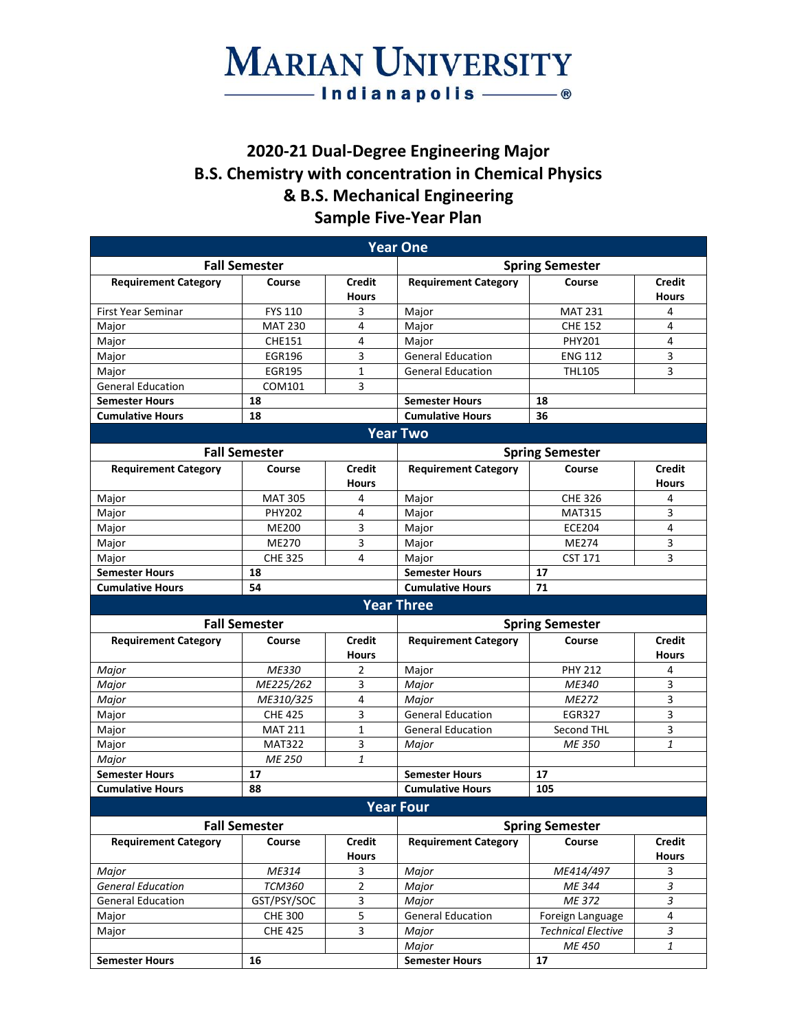## **MARIAN UNIVERSITY**  $\overline{\phantom{0}}$  Indianapolis  $\overline{\phantom{0}}$

### **2020-21 Dual-Degree Engineering Major B.S. Chemistry with concentration in Chemical Physics & B.S. Mechanical Engineering Sample Five-Year Plan**

| <b>Year One</b>                   |                        |                               |                             |                           |                               |
|-----------------------------------|------------------------|-------------------------------|-----------------------------|---------------------------|-------------------------------|
| <b>Fall Semester</b>              |                        |                               | <b>Spring Semester</b>      |                           |                               |
| <b>Requirement Category</b>       | Course                 | <b>Credit</b><br><b>Hours</b> | <b>Requirement Category</b> | Course                    | <b>Credit</b><br><b>Hours</b> |
| <b>First Year Seminar</b>         | <b>FYS 110</b>         | 3                             | Major                       | <b>MAT 231</b>            | 4                             |
| Major                             | <b>MAT 230</b>         | 4                             | Major                       | <b>CHE 152</b>            | 4                             |
| Major                             | <b>CHE151</b>          | 4                             | Major                       | <b>PHY201</b>             | 4                             |
| Major                             | <b>EGR196</b>          | 3                             | <b>General Education</b>    | <b>ENG 112</b>            | 3                             |
| Major                             | <b>EGR195</b>          | $\mathbf{1}$                  | <b>General Education</b>    | <b>THL105</b>             | 3                             |
| <b>General Education</b>          | COM101                 | 3                             |                             |                           |                               |
| <b>Semester Hours</b>             | 18                     |                               | <b>Semester Hours</b>       | 18                        |                               |
| <b>Cumulative Hours</b>           | 18                     |                               | <b>Cumulative Hours</b>     | 36                        |                               |
|                                   |                        |                               | <b>Year Two</b>             |                           |                               |
|                                   | <b>Fall Semester</b>   |                               |                             | <b>Spring Semester</b>    |                               |
| <b>Requirement Category</b>       | Course                 | <b>Credit</b>                 | <b>Requirement Category</b> | Course                    | <b>Credit</b>                 |
|                                   |                        | <b>Hours</b>                  |                             |                           | <b>Hours</b>                  |
| Major                             | <b>MAT 305</b>         | 4                             | Major                       | <b>CHE 326</b>            | 4                             |
| Major                             | <b>PHY202</b>          | 4                             | Major                       | <b>MAT315</b>             | 3                             |
| Major                             | ME200                  | 3                             | Major                       | <b>ECE204</b>             | 4                             |
| Major                             | ME270                  | 3                             | Major                       | ME274                     | 3                             |
| Major                             | <b>CHE 325</b>         | 4                             | Major                       | <b>CST 171</b>            | 3                             |
| <b>Semester Hours</b>             | 18                     |                               | <b>Semester Hours</b>       | 17                        |                               |
| <b>Cumulative Hours</b>           | 54                     |                               | <b>Cumulative Hours</b>     | 71                        |                               |
|                                   |                        |                               | <b>Year Three</b>           |                           |                               |
|                                   | <b>Fall Semester</b>   |                               | <b>Spring Semester</b>      |                           |                               |
| <b>Requirement Category</b>       | Course                 | Credit                        | <b>Requirement Category</b> | Course                    | <b>Credit</b>                 |
|                                   |                        | <b>Hours</b>                  |                             |                           | <b>Hours</b>                  |
| Major                             | ME330                  | 2                             | Major                       | <b>PHY 212</b>            | 4                             |
| Major                             | ME225/262              | 3                             | Major                       | ME340                     | 3                             |
| Major                             | ME310/325              | 4                             | Major                       | ME272                     | 3                             |
| Major                             | <b>CHE 425</b>         | 3                             | <b>General Education</b>    | <b>EGR327</b>             | 3                             |
| Major                             | <b>MAT 211</b>         | $\mathbf{1}$                  | <b>General Education</b>    | Second THL                | 3                             |
| Major                             | <b>MAT322</b>          | 3                             | Major                       | ME 350                    | 1                             |
| Major                             | ME 250                 | 1                             |                             |                           |                               |
| <b>Semester Hours</b>             | 17                     |                               | <b>Semester Hours</b>       | 17                        |                               |
| <b>Cumulative Hours</b>           | 88                     |                               | <b>Cumulative Hours</b>     | 105                       |                               |
|                                   |                        |                               | <b>Year Four</b>            |                           |                               |
| <b>Fall Semester</b>              |                        | <b>Spring Semester</b>        |                             |                           |                               |
| <b>Requirement Category</b>       | Course                 | <b>Credit</b>                 | <b>Requirement Category</b> | Course                    | <b>Credit</b>                 |
|                                   |                        | <b>Hours</b>                  |                             |                           | <b>Hours</b>                  |
| Major<br><b>General Education</b> | ME314<br><b>TCM360</b> | 3<br>$\overline{2}$           | Major<br>Major              | ME414/497<br>ME 344       | 3<br>$\mathfrak{Z}$           |
| <b>General Education</b>          | GST/PSY/SOC            | 3                             | Major                       | ME 372                    | 3                             |
| Major                             | <b>CHE 300</b>         | 5                             | <b>General Education</b>    | Foreign Language          | 4                             |
| Major                             | <b>CHE 425</b>         | 3                             | Major                       | <b>Technical Elective</b> | 3                             |
|                                   |                        |                               | Major                       | ME 450                    | 1                             |
| <b>Semester Hours</b>             | 16                     |                               | <b>Semester Hours</b>       | 17                        |                               |
|                                   |                        |                               |                             |                           |                               |